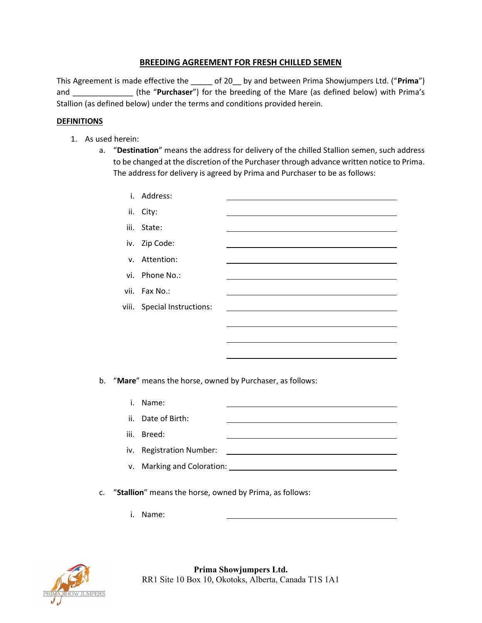## BREEDING AGREEMENT FOR FRESH CHILLED SEMEN

This Agreement is made effective the \_\_\_\_\_ of 20\_\_ by and between Prima Showjumpers Ltd. ("Prima") and \_\_\_\_\_\_\_\_\_\_\_\_\_\_\_\_\_\_(the "Purchaser") for the breeding of the Mare (as defined below) with Prima's Stallion (as defined below) under the terms and conditions provided herein.

### DEFINITIONS

- 1. As used herein:
	- a. "Destination" means the address for delivery of the chilled Stallion semen, such address to be changed at the discretion of the Purchaser through advance written notice to Prima. The address for delivery is agreed by Prima and Purchaser to be as follows:

|      | i. Address:                 |  |
|------|-----------------------------|--|
|      | ii. City:                   |  |
| iii. | State:                      |  |
|      | iv. Zip Code:               |  |
|      | v. Attention:               |  |
|      | vi. Phone No.:              |  |
|      | vii. Fax No.:               |  |
|      | viii. Special Instructions: |  |
|      |                             |  |
|      |                             |  |
|      |                             |  |

b. "Mare" means the horse, owned by Purchaser, as follows:

| Ι. | Name:                      |  |
|----|----------------------------|--|
|    | ii. Date of Birth:         |  |
|    | iii. Breed:                |  |
|    | iv. Registration Number:   |  |
|    | v. Marking and Coloration: |  |

- c. "Stallion" means the horse, owned by Prima, as follows:
	- i. Name:

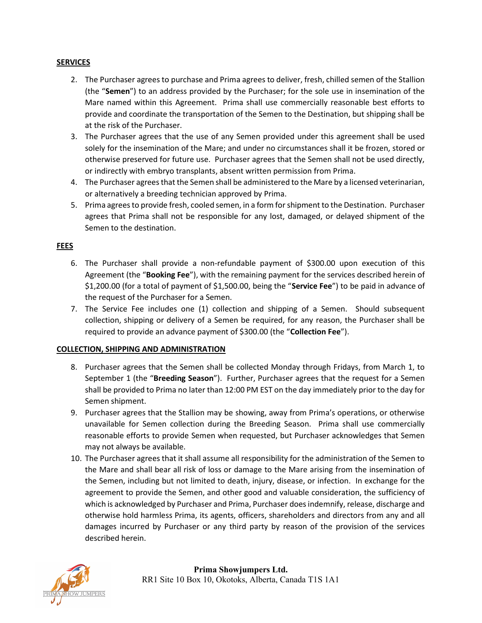### **SERVICES**

- 2. The Purchaser agrees to purchase and Prima agrees to deliver, fresh, chilled semen of the Stallion (the "Semen") to an address provided by the Purchaser; for the sole use in insemination of the Mare named within this Agreement. Prima shall use commercially reasonable best efforts to provide and coordinate the transportation of the Semen to the Destination, but shipping shall be at the risk of the Purchaser.
- 3. The Purchaser agrees that the use of any Semen provided under this agreement shall be used solely for the insemination of the Mare; and under no circumstances shall it be frozen, stored or otherwise preserved for future use. Purchaser agrees that the Semen shall not be used directly, or indirectly with embryo transplants, absent written permission from Prima.
- 4. The Purchaser agrees that the Semen shall be administered to the Mare by a licensed veterinarian, or alternatively a breeding technician approved by Prima.
- 5. Prima agrees to provide fresh, cooled semen, in a form for shipment to the Destination. Purchaser agrees that Prima shall not be responsible for any lost, damaged, or delayed shipment of the Semen to the destination.

## FEES

- 6. The Purchaser shall provide a non-refundable payment of \$300.00 upon execution of this Agreement (the "Booking Fee"), with the remaining payment for the services described herein of \$1,200.00 (for a total of payment of \$1,500.00, being the "Service Fee") to be paid in advance of the request of the Purchaser for a Semen.
- 7. The Service Fee includes one (1) collection and shipping of a Semen. Should subsequent collection, shipping or delivery of a Semen be required, for any reason, the Purchaser shall be required to provide an advance payment of \$300.00 (the "Collection Fee").

#### COLLECTION, SHIPPING AND ADMINISTRATION

- 8. Purchaser agrees that the Semen shall be collected Monday through Fridays, from March 1, to September 1 (the "Breeding Season"). Further, Purchaser agrees that the request for a Semen shall be provided to Prima no later than 12:00 PM EST on the day immediately prior to the day for Semen shipment.
- 9. Purchaser agrees that the Stallion may be showing, away from Prima's operations, or otherwise unavailable for Semen collection during the Breeding Season. Prima shall use commercially reasonable efforts to provide Semen when requested, but Purchaser acknowledges that Semen may not always be available.
- 10. The Purchaser agrees that it shall assume all responsibility for the administration of the Semen to the Mare and shall bear all risk of loss or damage to the Mare arising from the insemination of the Semen, including but not limited to death, injury, disease, or infection. In exchange for the agreement to provide the Semen, and other good and valuable consideration, the sufficiency of which is acknowledged by Purchaser and Prima, Purchaser does indemnify, release, discharge and otherwise hold harmless Prima, its agents, officers, shareholders and directors from any and all damages incurred by Purchaser or any third party by reason of the provision of the services described herein.

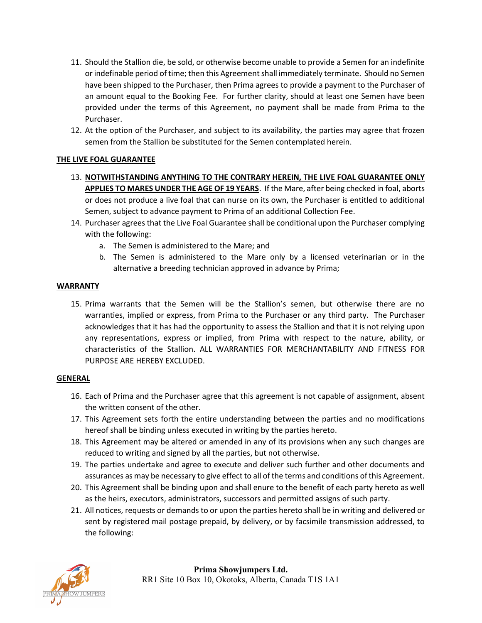- 11. Should the Stallion die, be sold, or otherwise become unable to provide a Semen for an indefinite or indefinable period of time; then this Agreement shall immediately terminate. Should no Semen have been shipped to the Purchaser, then Prima agrees to provide a payment to the Purchaser of an amount equal to the Booking Fee. For further clarity, should at least one Semen have been provided under the terms of this Agreement, no payment shall be made from Prima to the Purchaser.
- 12. At the option of the Purchaser, and subject to its availability, the parties may agree that frozen semen from the Stallion be substituted for the Semen contemplated herein.

# THE LIVE FOAL GUARANTEE

- 13. NOTWITHSTANDING ANYTHING TO THE CONTRARY HEREIN, THE LIVE FOAL GUARANTEE ONLY APPLIES TO MARES UNDER THE AGE OF 19 YEARS. If the Mare, after being checked in foal, aborts or does not produce a live foal that can nurse on its own, the Purchaser is entitled to additional Semen, subject to advance payment to Prima of an additional Collection Fee.
- 14. Purchaser agrees that the Live Foal Guarantee shall be conditional upon the Purchaser complying with the following:
	- a. The Semen is administered to the Mare; and
	- b. The Semen is administered to the Mare only by a licensed veterinarian or in the alternative a breeding technician approved in advance by Prima;

## WARRANTY

15. Prima warrants that the Semen will be the Stallion's semen, but otherwise there are no warranties, implied or express, from Prima to the Purchaser or any third party. The Purchaser acknowledges that it has had the opportunity to assess the Stallion and that it is not relying upon any representations, express or implied, from Prima with respect to the nature, ability, or characteristics of the Stallion. ALL WARRANTIES FOR MERCHANTABILITY AND FITNESS FOR PURPOSE ARE HEREBY EXCLUDED.

#### GENERAL

- 16. Each of Prima and the Purchaser agree that this agreement is not capable of assignment, absent the written consent of the other.
- 17. This Agreement sets forth the entire understanding between the parties and no modifications hereof shall be binding unless executed in writing by the parties hereto.
- 18. This Agreement may be altered or amended in any of its provisions when any such changes are reduced to writing and signed by all the parties, but not otherwise.
- 19. The parties undertake and agree to execute and deliver such further and other documents and assurances as may be necessary to give effect to all of the terms and conditions of this Agreement.
- 20. This Agreement shall be binding upon and shall enure to the benefit of each party hereto as well as the heirs, executors, administrators, successors and permitted assigns of such party.
- 21. All notices, requests or demands to or upon the parties hereto shall be in writing and delivered or sent by registered mail postage prepaid, by delivery, or by facsimile transmission addressed, to the following: